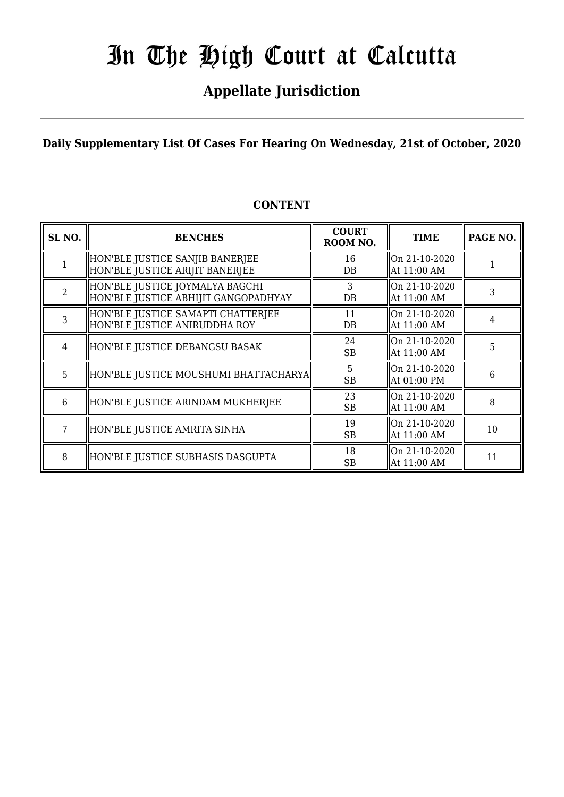## **Appellate Jurisdiction**

**Daily Supplementary List Of Cases For Hearing On Wednesday, 21st of October, 2020**

| SL <sub>NO.</sub> | <b>BENCHES</b>                                                          | <b>COURT</b><br>ROOM NO. | <b>TIME</b>                          | PAGE NO. |
|-------------------|-------------------------------------------------------------------------|--------------------------|--------------------------------------|----------|
|                   | HON'BLE JUSTICE SANJIB BANERJEE<br>HON'BLE JUSTICE ARIJIT BANERJEE      | 16<br>DB                 | $\log 21 - 10 - 2020$<br>At 11:00 AM |          |
| $\overline{2}$    | HON'BLE JUSTICE JOYMALYA BAGCHI<br>HON'BLE JUSTICE ABHIJIT GANGOPADHYAY | 3<br>DB                  | On 21-10-2020<br>At 11:00 AM         | 3        |
| 3                 | HON'BLE JUSTICE SAMAPTI CHATTERJEE<br>HON'BLE JUSTICE ANIRUDDHA ROY     | 11<br>DB                 | On 21-10-2020<br>At 11:00 AM         | 4        |
| $\overline{4}$    | HON'BLE JUSTICE DEBANGSU BASAK                                          | 24<br><b>SB</b>          | On 21-10-2020<br>At 11:00 AM         | 5        |
| 5                 | HON'BLE JUSTICE MOUSHUMI BHATTACHARYA                                   | 5<br><b>SB</b>           | On 21-10-2020<br>At 01:00 PM         | 6        |
| 6                 | HON'BLE JUSTICE ARINDAM MUKHERJEE                                       | 23<br>SB                 | On 21-10-2020<br>At 11:00 AM         | 8        |
| 7                 | HON'BLE JUSTICE AMRITA SINHA                                            | 19<br><b>SB</b>          | On 21-10-2020<br>At 11:00 AM         | 10       |
| 8                 | HON'BLE JUSTICE SUBHASIS DASGUPTA                                       | 18<br>SB                 | On 21-10-2020<br>At 11:00 AM         | 11       |

## **CONTENT**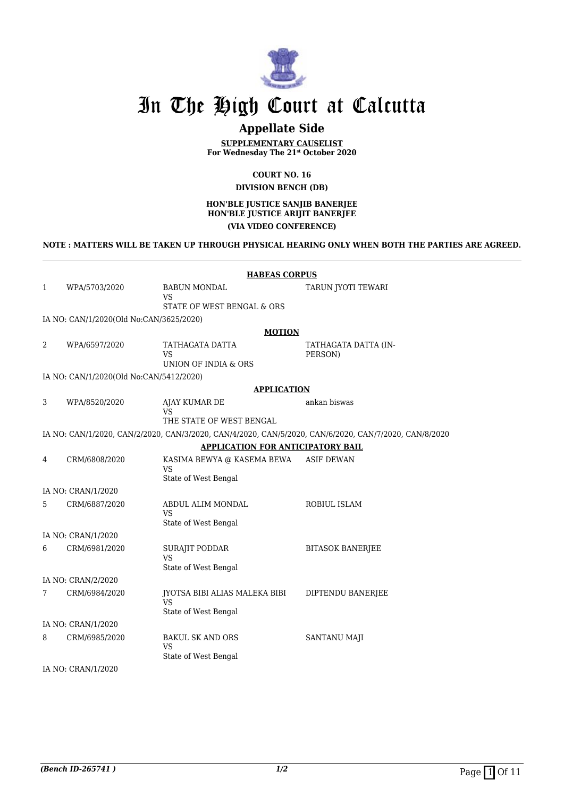

## **Appellate Side**

**SUPPLEMENTARY CAUSELIST For Wednesday The 21st October 2020**

> **COURT NO. 16 DIVISION BENCH (DB)**

#### **HON'BLE JUSTICE SANJIB BANERJEE HON'BLE JUSTICE ARIJIT BANERJEE (VIA VIDEO CONFERENCE)**

### **NOTE : MATTERS WILL BE TAKEN UP THROUGH PHYSICAL HEARING ONLY WHEN BOTH THE PARTIES ARE AGREED.**

|                | <b>HABEAS CORPUS</b>                    |                                         |                                                                                                       |  |
|----------------|-----------------------------------------|-----------------------------------------|-------------------------------------------------------------------------------------------------------|--|
| $\mathbf{1}$   | WPA/5703/2020                           | <b>BABUN MONDAL</b>                     | TARUN JYOTI TEWARI                                                                                    |  |
|                |                                         | <b>VS</b><br>STATE OF WEST BENGAL & ORS |                                                                                                       |  |
|                | IA NO: CAN/1/2020(Old No:CAN/3625/2020) |                                         |                                                                                                       |  |
|                |                                         | <b>MOTION</b>                           |                                                                                                       |  |
| 2              | WPA/6597/2020                           | TATHAGATA DATTA                         | TATHAGATA DATTA (IN-                                                                                  |  |
|                |                                         | VS<br>UNION OF INDIA & ORS              | PERSON)                                                                                               |  |
|                | IA NO: CAN/1/2020(Old No:CAN/5412/2020) |                                         |                                                                                                       |  |
|                |                                         | <b>APPLICATION</b>                      |                                                                                                       |  |
| 3              | WPA/8520/2020                           | AJAY KUMAR DE                           | ankan biswas                                                                                          |  |
|                |                                         | VS<br>THE STATE OF WEST BENGAL          |                                                                                                       |  |
|                |                                         |                                         | IA NO: CAN/1/2020, CAN/2/2020, CAN/3/2020, CAN/4/2020, CAN/5/2020, CAN/6/2020, CAN/7/2020, CAN/8/2020 |  |
|                |                                         | APPLICATION FOR ANTICIPATORY BAIL       |                                                                                                       |  |
| $\overline{4}$ | CRM/6808/2020                           | KASIMA BEWYA @ KASEMA BEWA              | <b>ASIF DEWAN</b>                                                                                     |  |
|                |                                         | <b>VS</b>                               |                                                                                                       |  |
|                |                                         | State of West Bengal                    |                                                                                                       |  |
|                | IA NO: CRAN/1/2020                      |                                         |                                                                                                       |  |
| 5              | CRM/6887/2020                           | ABDUL ALIM MONDAL<br><b>VS</b>          | ROBIUL ISLAM                                                                                          |  |
|                |                                         | State of West Bengal                    |                                                                                                       |  |
|                | IA NO: CRAN/1/2020                      |                                         |                                                                                                       |  |
| 6              | CRM/6981/2020                           | SURAJIT PODDAR                          | <b>BITASOK BANERJEE</b>                                                                               |  |
|                |                                         | VS<br>State of West Bengal              |                                                                                                       |  |
|                | IA NO: CRAN/2/2020                      |                                         |                                                                                                       |  |
| 7              | CRM/6984/2020                           | JYOTSA BIBI ALIAS MALEKA BIBI           | DIPTENDU BANERJEE                                                                                     |  |
|                |                                         | <b>VS</b><br>State of West Bengal       |                                                                                                       |  |
|                | IA NO: CRAN/1/2020                      |                                         |                                                                                                       |  |
| 8              | CRM/6985/2020                           | <b>BAKUL SK AND ORS</b>                 | SANTANU MAJI                                                                                          |  |
|                |                                         | <b>VS</b>                               |                                                                                                       |  |
|                |                                         | State of West Bengal                    |                                                                                                       |  |

IA NO: CRAN/1/2020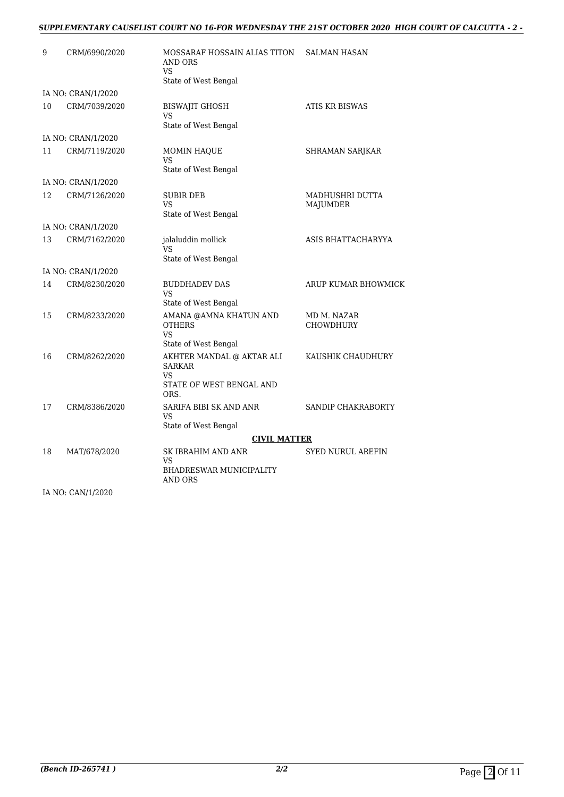## *SUPPLEMENTARY CAUSELIST COURT NO 16-FOR WEDNESDAY THE 21ST OCTOBER 2020 HIGH COURT OF CALCUTTA - 2 -*

| 9  | CRM/6990/2020      | MOSSARAF HOSSAIN ALIAS TITON<br>AND ORS<br><b>VS</b><br>State of West Bengal         | <b>SALMAN HASAN</b>             |
|----|--------------------|--------------------------------------------------------------------------------------|---------------------------------|
|    | IA NO: CRAN/1/2020 |                                                                                      |                                 |
| 10 | CRM/7039/2020      | <b>BISWAJIT GHOSH</b><br>VS<br>State of West Bengal                                  | ATIS KR BISWAS                  |
|    | IA NO: CRAN/1/2020 |                                                                                      |                                 |
| 11 | CRM/7119/2020      | MOMIN HAQUE<br>VS<br>State of West Bengal                                            | SHRAMAN SARJKAR                 |
|    | IA NO: CRAN/1/2020 |                                                                                      |                                 |
| 12 | CRM/7126/2020      | <b>SUBIR DEB</b><br>VS<br>State of West Bengal                                       | MADHUSHRI DUTTA<br>MAJUMDER     |
|    | IA NO: CRAN/1/2020 |                                                                                      |                                 |
| 13 | CRM/7162/2020      | jalaluddin mollick<br>VS<br>State of West Bengal                                     | ASIS BHATTACHARYYA              |
|    | IA NO: CRAN/1/2020 |                                                                                      |                                 |
| 14 | CRM/8230/2020      | <b>BUDDHADEV DAS</b><br>VS<br>State of West Bengal                                   | ARUP KUMAR BHOWMICK             |
| 15 | CRM/8233/2020      | AMANA @AMNA KHATUN AND<br><b>OTHERS</b><br>VS<br>State of West Bengal                | MD M. NAZAR<br><b>CHOWDHURY</b> |
| 16 | CRM/8262/2020      | AKHTER MANDAL @ AKTAR ALI<br><b>SARKAR</b><br>VS<br>STATE OF WEST BENGAL AND<br>ORS. | KAUSHIK CHAUDHURY               |
| 17 | CRM/8386/2020      | SARIFA BIBI SK AND ANR<br>VS<br>State of West Bengal                                 | SANDIP CHAKRABORTY              |
|    |                    | <b>CIVIL MATTER</b>                                                                  |                                 |
| 18 | MAT/678/2020       | SK IBRAHIM AND ANR<br>VS<br><b>BHADRESWAR MUNICIPALITY</b><br>AND ORS                | <b>SYED NURUL AREFIN</b>        |

IA NO: CAN/1/2020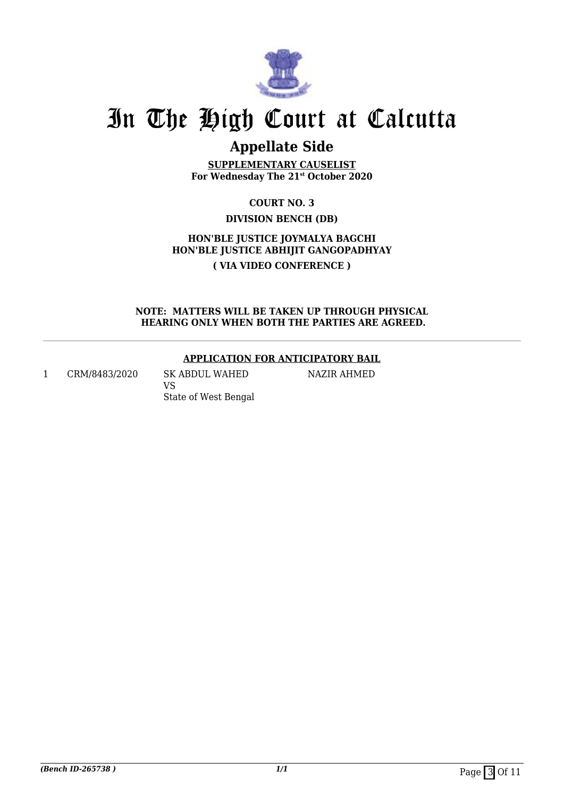

## **Appellate Side**

**SUPPLEMENTARY CAUSELIST For Wednesday The 21st October 2020**

> **COURT NO. 3 DIVISION BENCH (DB)**

**HON'BLE JUSTICE JOYMALYA BAGCHI HON'BLE JUSTICE ABHIJIT GANGOPADHYAY ( VIA VIDEO CONFERENCE )**

**NOTE: MATTERS WILL BE TAKEN UP THROUGH PHYSICAL HEARING ONLY WHEN BOTH THE PARTIES ARE AGREED.**

## **APPLICATION FOR ANTICIPATORY BAIL**

NAZIR AHMED

1 CRM/8483/2020 SK ABDUL WAHED VS State of West Bengal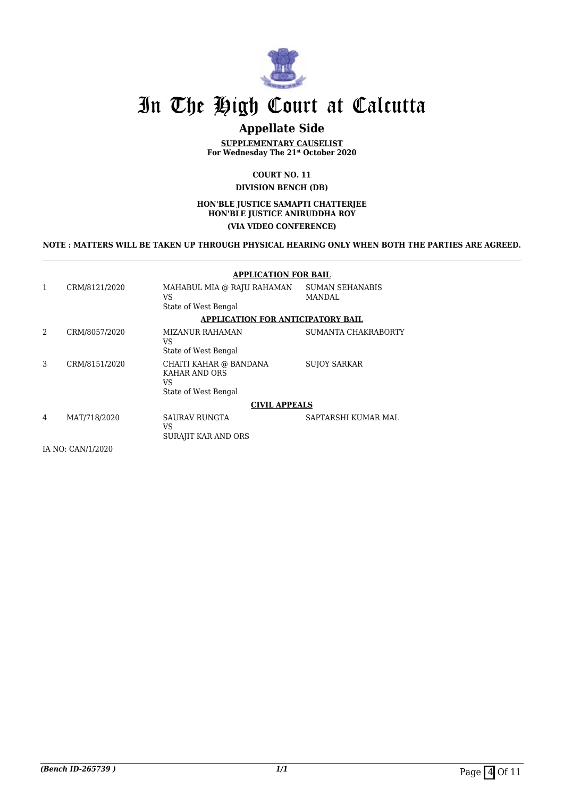

## **Appellate Side**

**SUPPLEMENTARY CAUSELIST For Wednesday The 21st October 2020**

#### **COURT NO. 11 DIVISION BENCH (DB)**

#### **HON'BLE JUSTICE SAMAPTI CHATTERJEE HON'BLE JUSTICE ANIRUDDHA ROY (VIA VIDEO CONFERENCE)**

**NOTE : MATTERS WILL BE TAKEN UP THROUGH PHYSICAL HEARING ONLY WHEN BOTH THE PARTIES ARE AGREED.**

### **APPLICATION FOR BAIL**

| CRM/8121/2020      | MAHABUL MIA @ RAJU RAHAMAN<br>VS<br>State of West Bengal              | <b>SUMAN SEHANABIS</b><br>MANDAL |  |  |
|--------------------|-----------------------------------------------------------------------|----------------------------------|--|--|
|                    | APPLICATION FOR ANTICIPATORY BAIL                                     |                                  |  |  |
|                    |                                                                       |                                  |  |  |
| 2<br>CRM/8057/2020 | MIZANUR RAHAMAN<br>VS                                                 | SUMANTA CHAKRABORTY              |  |  |
|                    | State of West Bengal                                                  |                                  |  |  |
| 3<br>CRM/8151/2020 | CHAITI KAHAR @ BANDANA<br>KAHAR AND ORS<br>VS<br>State of West Bengal | <b>SUJOY SARKAR</b>              |  |  |
|                    | <b>CIVIL APPEALS</b>                                                  |                                  |  |  |
| MAT/718/2020<br>4  | <b>SAURAV RUNGTA</b><br>VS<br>SURAJIT KAR AND ORS                     | SAPTARSHI KUMAR MAL              |  |  |
| IA NO: CAN/1/2020  |                                                                       |                                  |  |  |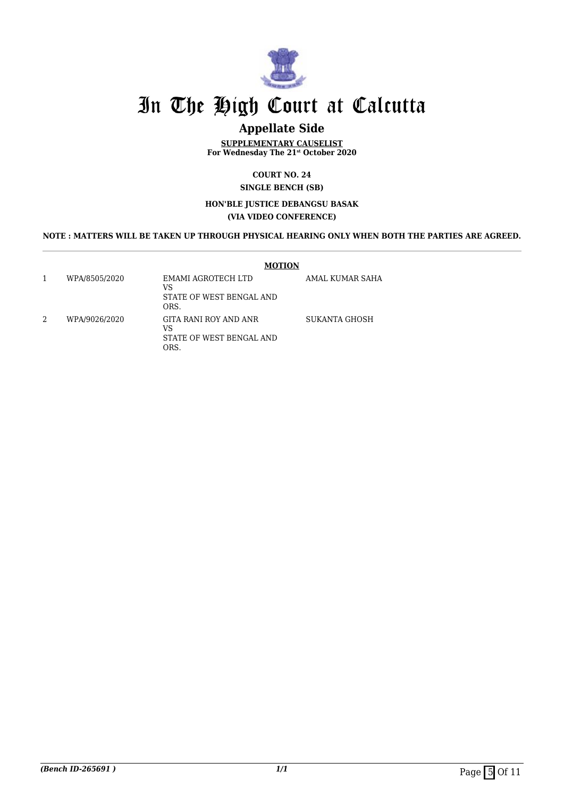

## **Appellate Side**

**SUPPLEMENTARY CAUSELIST For Wednesday The 21st October 2020**

> **COURT NO. 24 SINGLE BENCH (SB)**

### **HON'BLE JUSTICE DEBANGSU BASAK (VIA VIDEO CONFERENCE)**

## **NOTE : MATTERS WILL BE TAKEN UP THROUGH PHYSICAL HEARING ONLY WHEN BOTH THE PARTIES ARE AGREED.**

|   |               | <b>MOTION</b>                                                   |                 |
|---|---------------|-----------------------------------------------------------------|-----------------|
|   | WPA/8505/2020 | EMAMI AGROTECH LTD<br>VS<br>STATE OF WEST BENGAL AND<br>ORS.    | AMAL KUMAR SAHA |
| 2 | WPA/9026/2020 | GITA RANI ROY AND ANR<br>VS<br>STATE OF WEST BENGAL AND<br>ORS. | SUKANTA GHOSH   |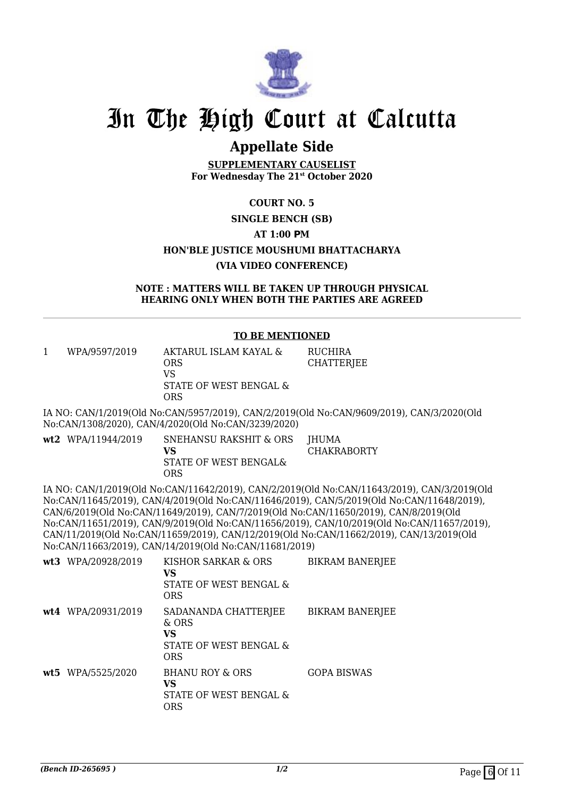

## **Appellate Side**

**SUPPLEMENTARY CAUSELIST For Wednesday The 21st October 2020**

## **COURT NO. 5 SINGLE BENCH (SB) AT 1:00 PM HON'BLE JUSTICE MOUSHUMI BHATTACHARYA (VIA VIDEO CONFERENCE)**

### **NOTE : MATTERS WILL BE TAKEN UP THROUGH PHYSICAL HEARING ONLY WHEN BOTH THE PARTIES ARE AGREED**

## **TO BE MENTIONED**

| WPA/9597/2019 | AKTARUL ISLAM KAYAL &<br>ORS | RUCHIRA<br>CHATTERJEE |
|---------------|------------------------------|-----------------------|
|               | VS                           |                       |
|               | STATE OF WEST BENGAL &       |                       |
|               | ORS                          |                       |

IA NO: CAN/1/2019(Old No:CAN/5957/2019), CAN/2/2019(Old No:CAN/9609/2019), CAN/3/2020(Old No:CAN/1308/2020), CAN/4/2020(Old No:CAN/3239/2020)

| wt2 WPA/11944/2019 | SNEHANSU RAKSHIT & ORS JHUMA |             |
|--------------------|------------------------------|-------------|
|                    | VS.                          | CHAKRABORTY |
|                    | STATE OF WEST BENGAL&        |             |
|                    | ORS                          |             |
|                    |                              |             |

IA NO: CAN/1/2019(Old No:CAN/11642/2019), CAN/2/2019(Old No:CAN/11643/2019), CAN/3/2019(Old No:CAN/11645/2019), CAN/4/2019(Old No:CAN/11646/2019), CAN/5/2019(Old No:CAN/11648/2019), CAN/6/2019(Old No:CAN/11649/2019), CAN/7/2019(Old No:CAN/11650/2019), CAN/8/2019(Old No:CAN/11651/2019), CAN/9/2019(Old No:CAN/11656/2019), CAN/10/2019(Old No:CAN/11657/2019), CAN/11/2019(Old No:CAN/11659/2019), CAN/12/2019(Old No:CAN/11662/2019), CAN/13/2019(Old No:CAN/11663/2019), CAN/14/2019(Old No:CAN/11681/2019)

| wt3 WPA/20928/2019 | KISHOR SARKAR & ORS<br>VS<br>STATE OF WEST BENGAL &<br><b>ORS</b>           | <b>BIKRAM BANERJEE</b> |
|--------------------|-----------------------------------------------------------------------------|------------------------|
| wt4 WPA/20931/2019 | SADANANDA CHATTERJEE<br>& ORS<br>VS<br>STATE OF WEST BENGAL &<br><b>ORS</b> | BIKRAM BANERJEE        |
| wt5 WPA/5525/2020  | <b>BHANU ROY &amp; ORS</b><br>VS<br>STATE OF WEST BENGAL &<br><b>ORS</b>    | <b>GOPA BISWAS</b>     |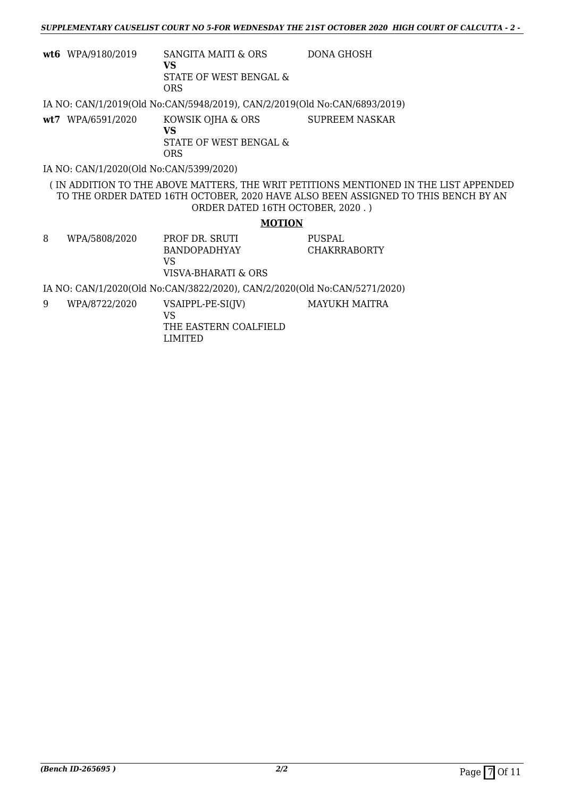| <b>wt6</b> WPA/9180/2019 | SANGITA MAITI & ORS    | DONA GHOSH |
|--------------------------|------------------------|------------|
|                          | VS                     |            |
|                          | STATE OF WEST BENGAL & |            |
|                          | ORS                    |            |

IA NO: CAN/1/2019(Old No:CAN/5948/2019), CAN/2/2019(Old No:CAN/6893/2019)

| <b>wt7</b> WPA/6591/2020 | KOWSIK OJHA & ORS                    | SUPREEM NASKAR |
|--------------------------|--------------------------------------|----------------|
|                          | VS.<br>STATE OF WEST BENGAL &<br>ORS |                |

IA NO: CAN/1/2020(Old No:CAN/5399/2020)

( IN ADDITION TO THE ABOVE MATTERS, THE WRIT PETITIONS MENTIONED IN THE LIST APPENDED TO THE ORDER DATED 16TH OCTOBER, 2020 HAVE ALSO BEEN ASSIGNED TO THIS BENCH BY AN ORDER DATED 16TH OCTOBER, 2020 . )

### **MOTION**

8 WPA/5808/2020 PROF DR. SRUTI BANDOPADHYAY VS VISVA-BHARATI & ORS PUSPAL CHAKRRABORTY

IA NO: CAN/1/2020(Old No:CAN/3822/2020), CAN/2/2020(Old No:CAN/5271/2020)

9 WPA/8722/2020 VSAIPPL-PE-SI(JV)

MAYUKH MAITRA

VS THE EASTERN COALFIELD LIMITED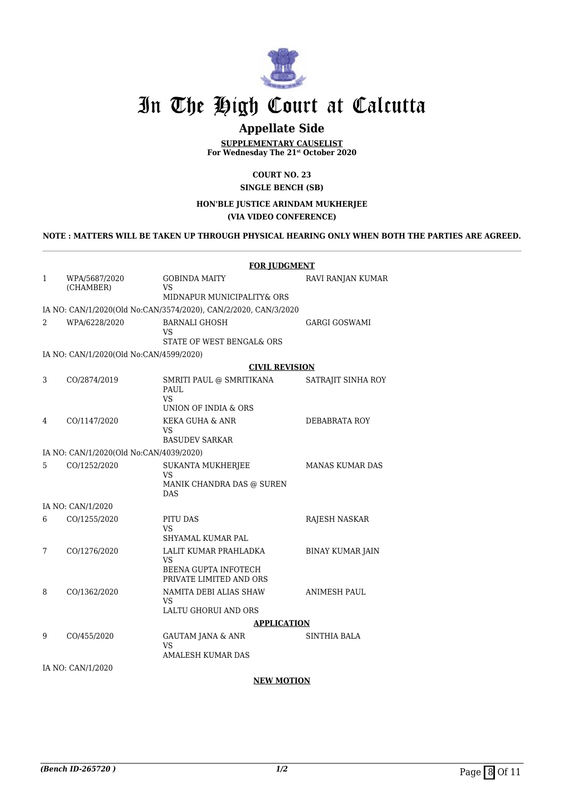

## **Appellate Side**

**SUPPLEMENTARY CAUSELIST For Wednesday The 21st October 2020**

> **COURT NO. 23 SINGLE BENCH (SB)**

### **HON'BLE JUSTICE ARINDAM MUKHERJEE (VIA VIDEO CONFERENCE)**

## **NOTE : MATTERS WILL BE TAKEN UP THROUGH PHYSICAL HEARING ONLY WHEN BOTH THE PARTIES ARE AGREED.**

|                |                                         | <b>FOR JUDGMENT</b>                                                                   |                         |  |
|----------------|-----------------------------------------|---------------------------------------------------------------------------------------|-------------------------|--|
| $\mathbf{1}$   | WPA/5687/2020<br>(CHAMBER)              | <b>GOBINDA MAITY</b><br>VS                                                            | RAVI RANJAN KUMAR       |  |
|                |                                         | MIDNAPUR MUNICIPALITY& ORS                                                            |                         |  |
|                |                                         | IA NO: CAN/1/2020(Old No:CAN/3574/2020), CAN/2/2020, CAN/3/2020                       |                         |  |
| $\overline{2}$ | WPA/6228/2020                           | <b>BARNALI GHOSH</b><br>VS                                                            | <b>GARGI GOSWAMI</b>    |  |
|                |                                         | STATE OF WEST BENGAL& ORS                                                             |                         |  |
|                | IA NO: CAN/1/2020(Old No:CAN/4599/2020) |                                                                                       |                         |  |
|                |                                         | <b>CIVIL REVISION</b>                                                                 |                         |  |
| 3              | CO/2874/2019                            | SMRITI PAUL @ SMRITIKANA<br>PAUL<br>VS<br>UNION OF INDIA & ORS                        | SATRAJIT SINHA ROY      |  |
| 4              | CO/1147/2020                            | <b>KEKA GUHA &amp; ANR</b><br>VS<br><b>BASUDEV SARKAR</b>                             | DEBABRATA ROY           |  |
|                | IA NO: CAN/1/2020(Old No:CAN/4039/2020) |                                                                                       |                         |  |
| 5              | CO/1252/2020                            | <b>SUKANTA MUKHERJEE</b><br>VS<br>MANIK CHANDRA DAS @ SUREN<br><b>DAS</b>             | <b>MANAS KUMAR DAS</b>  |  |
|                | IA NO: CAN/1/2020                       |                                                                                       |                         |  |
| 6              | CO/1255/2020                            | PITU DAS                                                                              | RAJESH NASKAR           |  |
|                |                                         | VS<br>SHYAMAL KUMAR PAL                                                               |                         |  |
| 7              | CO/1276/2020                            | LALIT KUMAR PRAHLADKA<br><b>VS</b><br>BEENA GUPTA INFOTECH<br>PRIVATE LIMITED AND ORS | <b>BINAY KUMAR JAIN</b> |  |
| 8              | CO/1362/2020                            | NAMITA DEBI ALIAS SHAW                                                                | <b>ANIMESH PAUL</b>     |  |
|                |                                         | VS<br>LALTU GHORUI AND ORS                                                            |                         |  |
|                |                                         | <b>APPLICATION</b>                                                                    |                         |  |
| 9              | CO/455/2020                             | <b>GAUTAM JANA &amp; ANR</b><br>VS<br>AMALESH KUMAR DAS                               | <b>SINTHIA BALA</b>     |  |
|                | IA NO: CAN/1/2020                       |                                                                                       |                         |  |

### **NEW MOTION**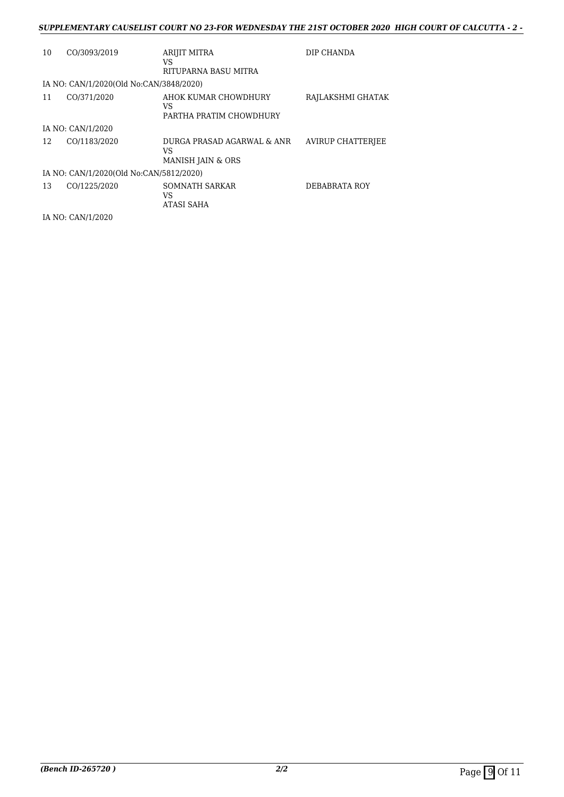### *SUPPLEMENTARY CAUSELIST COURT NO 23-FOR WEDNESDAY THE 21ST OCTOBER 2020 HIGH COURT OF CALCUTTA - 2 -*

| 10 | CO/3093/2019                            | ARIJIT MITRA<br>VS<br>RITUPARNA BASU MITRA                       | DIP CHANDA        |
|----|-----------------------------------------|------------------------------------------------------------------|-------------------|
|    | IA NO: CAN/1/2020(Old No:CAN/3848/2020) |                                                                  |                   |
| 11 | CO/371/2020                             | AHOK KUMAR CHOWDHURY<br>VS<br>PARTHA PRATIM CHOWDHURY            | RAJLAKSHMI GHATAK |
|    | IA NO: CAN/1/2020                       |                                                                  |                   |
| 12 | CO/1183/2020                            | DURGA PRASAD AGARWAL & ANR<br>VS<br><b>MANISH JAIN &amp; ORS</b> | AVIRUP CHATTERIEE |
|    | IA NO: CAN/1/2020(Old No:CAN/5812/2020) |                                                                  |                   |
| 13 | CO/1225/2020                            | SOMNATH SARKAR<br>VS<br>ATASI SAHA                               | DEBABRATA ROY     |

IA NO: CAN/1/2020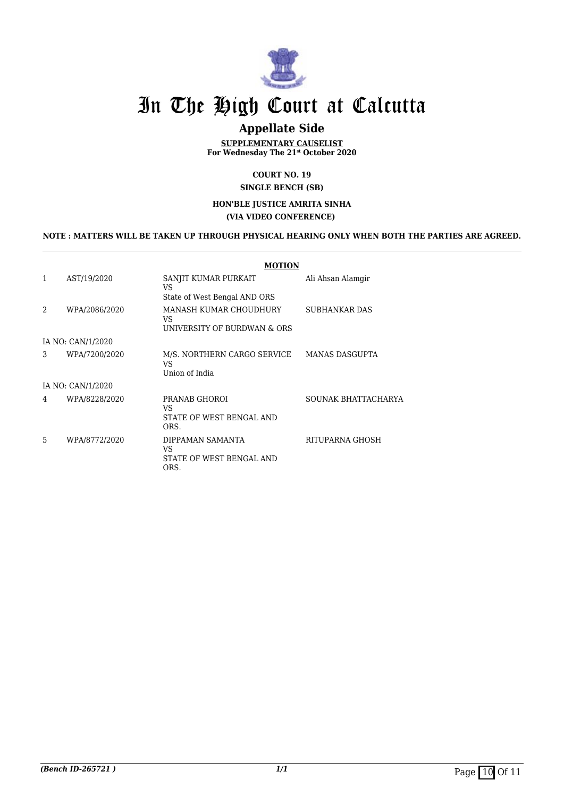

## **Appellate Side**

**SUPPLEMENTARY CAUSELIST For Wednesday The 21st October 2020**

> **COURT NO. 19 SINGLE BENCH (SB)**

#### **HON'BLE JUSTICE AMRITA SINHA (VIA VIDEO CONFERENCE)**

### **NOTE : MATTERS WILL BE TAKEN UP THROUGH PHYSICAL HEARING ONLY WHEN BOTH THE PARTIES ARE AGREED.**

|                   |               | <b>MOTION</b>                                               |                       |  |  |
|-------------------|---------------|-------------------------------------------------------------|-----------------------|--|--|
| 1                 | AST/19/2020   | SANJIT KUMAR PURKAIT<br>VS<br>State of West Bengal AND ORS  | Ali Ahsan Alamgir     |  |  |
| $\mathfrak{D}$    | WPA/2086/2020 | MANASH KUMAR CHOUDHURY<br>VS<br>UNIVERSITY OF BURDWAN & ORS | SUBHANKAR DAS         |  |  |
| IA NO: CAN/1/2020 |               |                                                             |                       |  |  |
| 3                 | WPA/7200/2020 | M/S. NORTHERN CARGO SERVICE<br>VS<br>Union of India         | <b>MANAS DASGUPTA</b> |  |  |
| IA NO: CAN/1/2020 |               |                                                             |                       |  |  |
| 4                 | WPA/8228/2020 | PRANAB GHOROI<br>VS<br>STATE OF WEST BENGAL AND<br>ORS.     | SOUNAK BHATTACHARYA   |  |  |
| 5                 | WPA/8772/2020 | DIPPAMAN SAMANTA<br>VS<br>STATE OF WEST BENGAL AND<br>ORS.  | RITUPARNA GHOSH       |  |  |